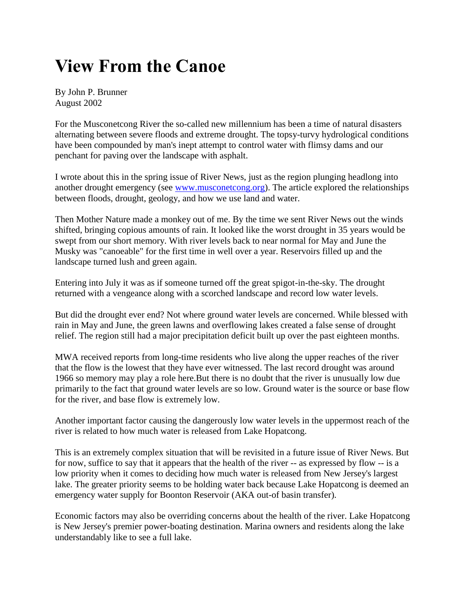## **View From the Canoe**

By John P. Brunner August 2002

For the Musconetcong River the so-called new millennium has been a time of natural disasters alternating between severe floods and extreme drought. The topsy-turvy hydrological conditions have been compounded by man's inept attempt to control water with flimsy dams and our penchant for paving over the landscape with asphalt.

I wrote about this in the spring issue of River News, just as the region plunging headlong into another drought emergency (see [www.musconetcong.org\)](http://www.musconetcong.org/). The article explored the relationships between floods, drought, geology, and how we use land and water.

Then Mother Nature made a monkey out of me. By the time we sent River News out the winds shifted, bringing copious amounts of rain. It looked like the worst drought in 35 years would be swept from our short memory. With river levels back to near normal for May and June the Musky was "canoeable" for the first time in well over a year. Reservoirs filled up and the landscape turned lush and green again.

Entering into July it was as if someone turned off the great spigot-in-the-sky. The drought returned with a vengeance along with a scorched landscape and record low water levels.

But did the drought ever end? Not where ground water levels are concerned. While blessed with rain in May and June, the green lawns and overflowing lakes created a false sense of drought relief. The region still had a major precipitation deficit built up over the past eighteen months.

MWA received reports from long-time residents who live along the upper reaches of the river that the flow is the lowest that they have ever witnessed. The last record drought was around 1966 so memory may play a role here.But there is no doubt that the river is unusually low due primarily to the fact that ground water levels are so low. Ground water is the source or base flow for the river, and base flow is extremely low.

Another important factor causing the dangerously low water levels in the uppermost reach of the river is related to how much water is released from Lake Hopatcong.

This is an extremely complex situation that will be revisited in a future issue of River News. But for now, suffice to say that it appears that the health of the river -- as expressed by flow -- is a low priority when it comes to deciding how much water is released from New Jersey's largest lake. The greater priority seems to be holding water back because Lake Hopatcong is deemed an emergency water supply for Boonton Reservoir (AKA out-of basin transfer).

Economic factors may also be overriding concerns about the health of the river. Lake Hopatcong is New Jersey's premier power-boating destination. Marina owners and residents along the lake understandably like to see a full lake.